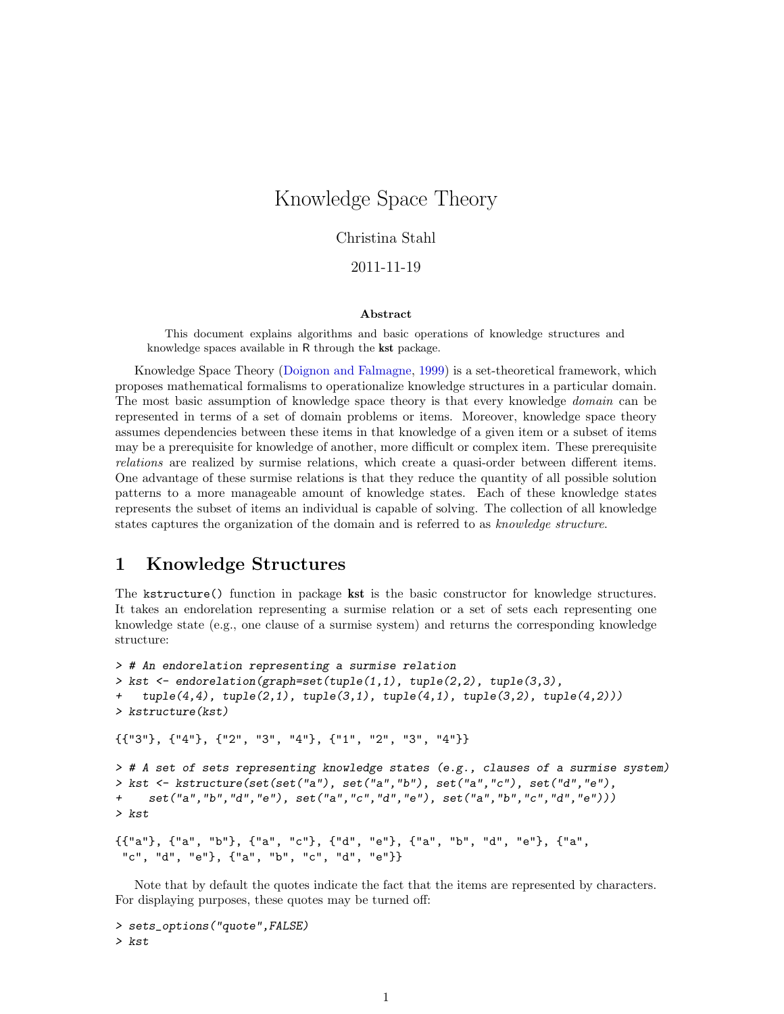## <span id="page-0-0"></span>Knowledge Space Theory

### Christina Stahl

### 2011-11-19

#### Abstract

This document explains algorithms and basic operations of knowledge structures and knowledge spaces available in R through the kst package.

Knowledge Space Theory [\(Doignon and Falmagne,](#page-8-0) [1999\)](#page-8-0) is a set-theoretical framework, which proposes mathematical formalisms to operationalize knowledge structures in a particular domain. The most basic assumption of knowledge space theory is that every knowledge *domain* can be represented in terms of a set of domain problems or items. Moreover, knowledge space theory assumes dependencies between these items in that knowledge of a given item or a subset of items may be a prerequisite for knowledge of another, more difficult or complex item. These prerequisite relations are realized by surmise relations, which create a quasi-order between different items. One advantage of these surmise relations is that they reduce the quantity of all possible solution patterns to a more manageable amount of knowledge states. Each of these knowledge states represents the subset of items an individual is capable of solving. The collection of all knowledge states captures the organization of the domain and is referred to as *knowledge structure*.

### 1 Knowledge Structures

The kstructure() function in package kst is the basic constructor for knowledge structures. It takes an endorelation representing a surmise relation or a set of sets each representing one knowledge state (e.g., one clause of a surmise system) and returns the corresponding knowledge structure:

```
> # An endorelation representing a surmise relation
> kst <- endorelation(graph=set(tuple(1,1), tuple(2,2), tuple(3,3),
+ tuple(4,4), tuple(2,1), tuple(3,1), tuple(4,1), tuple(3,2), tuple(4,2))> kstructure(kst)
{{"3"}, {"4"}, {"2", "3", "4"}, {"1", "2", "3", "4"}}
> # A set of sets representing knowledge states (e.g., clauses of a surmise system)
> kst <- kstructure(set(set("a"), set("a","b"), set("a","c"), set("d","e"),
+ set("a","b","d","e"), set("a","c","d","e"), set("a","b","c","d","e")))
> kst
{{"a"}, {"a", "b"}, {"a", "c"}, {"d", "e"}, {"a", "b", "d", "e"}, {"a",
 "c", "d", "e"}, {"a", "b", "c", "d", "e"}}
```
Note that by default the quotes indicate the fact that the items are represented by characters. For displaying purposes, these quotes may be turned off:

```
> sets_options("quote",FALSE)
> kst
```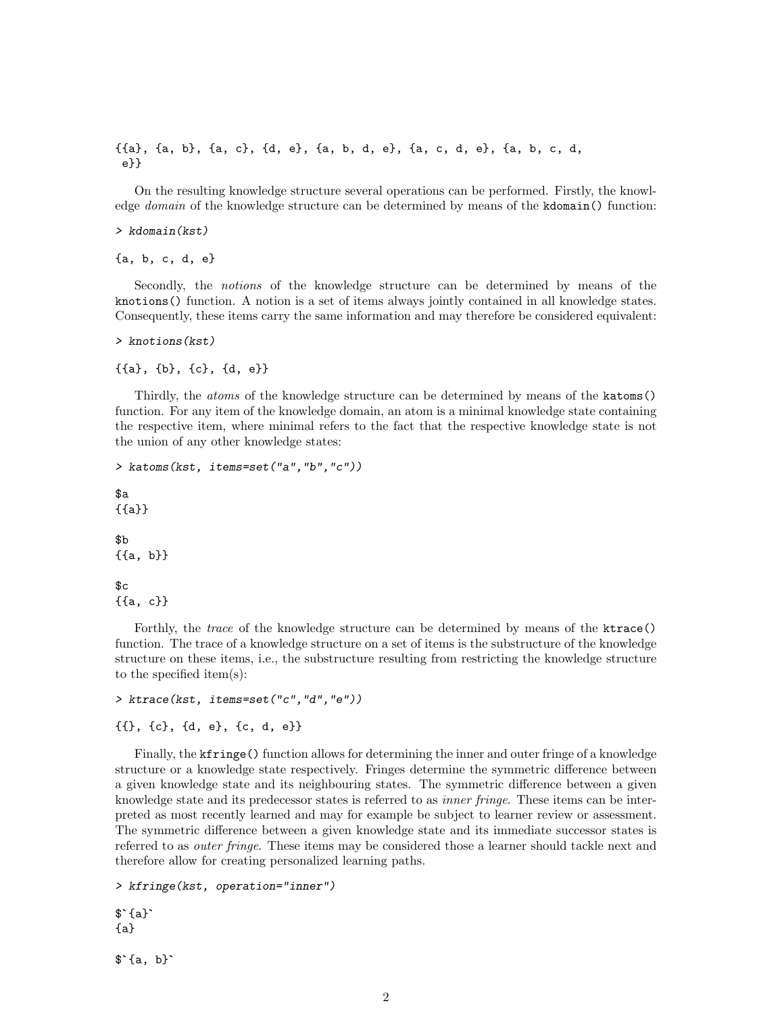<span id="page-1-0"></span>{{a}, {a, b}, {a, c}, {d, e}, {a, b, d, e}, {a, c, d, e}, {a, b, c, d, e}}

On the resulting knowledge structure several operations can be performed. Firstly, the knowledge *domain* of the knowledge structure can be determined by means of the kdomain() function:

```
> kdomain(kst)
```
{a, b, c, d, e}

Secondly, the notions of the knowledge structure can be determined by means of the knotions() function. A notion is a set of items always jointly contained in all knowledge states. Consequently, these items carry the same information and may therefore be considered equivalent:

```
> knotions(kst)
```
{{a}, {b}, {c}, {d, e}}

Thirdly, the atoms of the knowledge structure can be determined by means of the katoms() function. For any item of the knowledge domain, an atom is a minimal knowledge state containing the respective item, where minimal refers to the fact that the respective knowledge state is not the union of any other knowledge states:

```
> katoms(kst, items=set("a","b","c"))
a{{a}}
```
\$b {{a, b}}

 $c$ {{a, c}}

Forthly, the *trace* of the knowledge structure can be determined by means of the ktrace() function. The trace of a knowledge structure on a set of items is the substructure of the knowledge structure on these items, i.e., the substructure resulting from restricting the knowledge structure to the specified item(s):

```
> ktrace(kst, items=set("c","d","e"))
```

```
{{}, {c}, {d, e}, {c, d, e}}
```
Finally, the kfringe() function allows for determining the inner and outer fringe of a knowledge structure or a knowledge state respectively. Fringes determine the symmetric difference between a given knowledge state and its neighbouring states. The symmetric difference between a given knowledge state and its predecessor states is referred to as *inner fringe*. These items can be interpreted as most recently learned and may for example be subject to learner review or assessment. The symmetric difference between a given knowledge state and its immediate successor states is referred to as *outer fringe*. These items may be considered those a learner should tackle next and therefore allow for creating personalized learning paths.

> kfringe(kst, operation="inner")

```
thereto:<br>> kfri<br>$`{a}`
{a}
$`{a}`<br>{a}<br>$`{a, b}`
```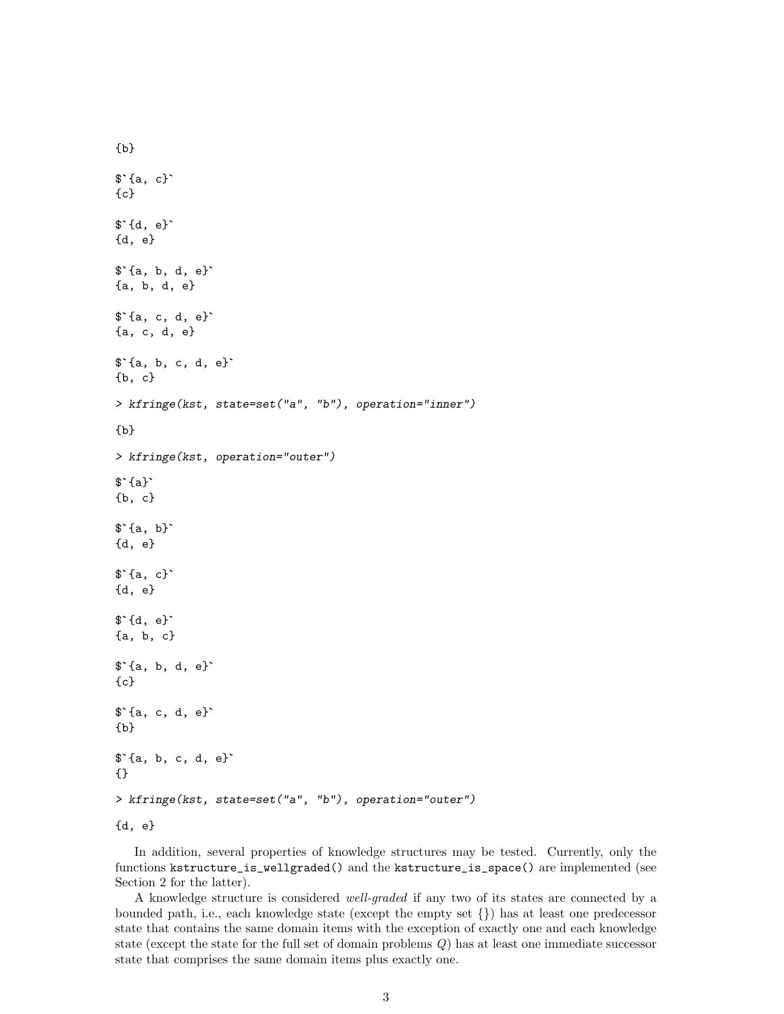```
{b}
\{a, c}
{c}$`{d, e}`
{d, e}
$`{a, b, d, e}`
{a, b, d, e}
$`{a, c, d, e}`
{a, c, d, e}
$`{a, b, c, d, e}`
{b, c}
> kfringe(kst, state=set("a", "b"), operation="inner")
{b}
> kfringe(kst, operation="outer")
{b}<br>> kfri<br>$`{a}`
{b, c}
\^{\{b, c\}}<br>\^{\{a, b\}}
{d, e}
$`{a, b}`<br>{d, e}<br>$`{a, c}`
{d, e}
$`{a, c}`<br>{d, e}<br>$`{d, e}`
{a, b, c}
$`{d, e}`<br>{a, b, c}<br>$`{a, b, d, e}`
{c}
$`{a, b, d, e}`<br>{c}<br>$`{a, c, d, e}`
{b}
$`{a, c, d, e}`<br>{b}<br>$`{a, b, c, d, e}`
{}
> kfringe(kst, state=set("a", "b"), operation="outer")
{d, e}
```
In addition, several properties of knowledge structures may be tested. Currently, only the functions kstructure\_is\_wellgraded() and the kstructure\_is\_space() are implemented (see Section 2 for the latter).

A knowledge structure is considered well-graded if any two of its states are connected by a bounded path, i.e., each knowledge state (except the empty set {}) has at least one predecessor state that contains the same domain items with the exception of exactly one and each knowledge state (except the state for the full set of domain problems Q) has at least one immediate successor state that comprises the same domain items plus exactly one.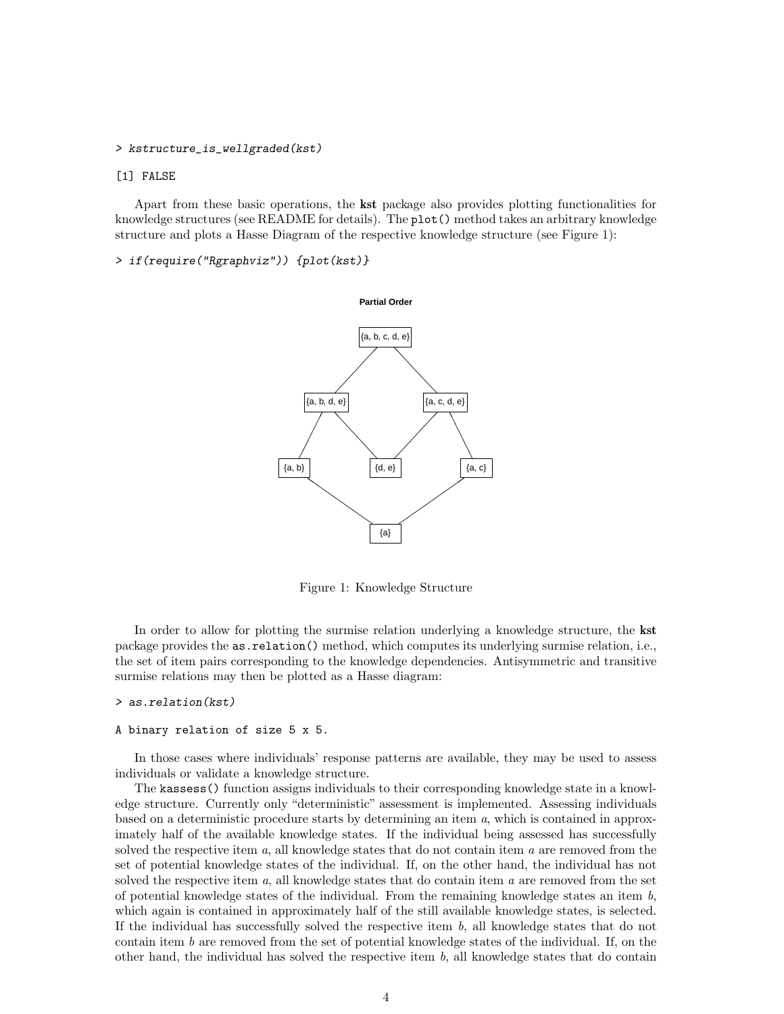#### <span id="page-3-0"></span>> kstructure\_is\_wellgraded(kst)

### [1] FALSE

Apart from these basic operations, the kst package also provides plotting functionalities for knowledge structures (see README for details). The plot() method takes an arbitrary knowledge structure and plots a Hasse Diagram of the respective knowledge structure (see Figure 1):

> if(require("Rgraphviz")) {plot(kst)}



Figure 1: Knowledge Structure

In order to allow for plotting the surmise relation underlying a knowledge structure, the **kst** package provides the as.relation() method, which computes its underlying surmise relation, i.e., the set of item pairs corresponding to the knowledge dependencies. Antisymmetric and transitive surmise relations may then be plotted as a Hasse diagram:

#### > as.relation(kst)

#### A binary relation of size 5 x 5.

In those cases where individuals' response patterns are available, they may be used to assess individuals or validate a knowledge structure.

The kassess() function assigns individuals to their corresponding knowledge state in a knowledge structure. Currently only "deterministic" assessment is implemented. Assessing individuals based on a deterministic procedure starts by determining an item a, which is contained in approximately half of the available knowledge states. If the individual being assessed has successfully solved the respective item  $a$ , all knowledge states that do not contain item  $a$  are removed from the set of potential knowledge states of the individual. If, on the other hand, the individual has not solved the respective item  $a$ , all knowledge states that do contain item  $a$  are removed from the set of potential knowledge states of the individual. From the remaining knowledge states an item  $b$ , which again is contained in approximately half of the still available knowledge states, is selected. If the individual has successfully solved the respective item  $b$ , all knowledge states that do not contain item  $b$  are removed from the set of potential knowledge states of the individual. If, on the other hand, the individual has solved the respective item  $b$ , all knowledge states that do contain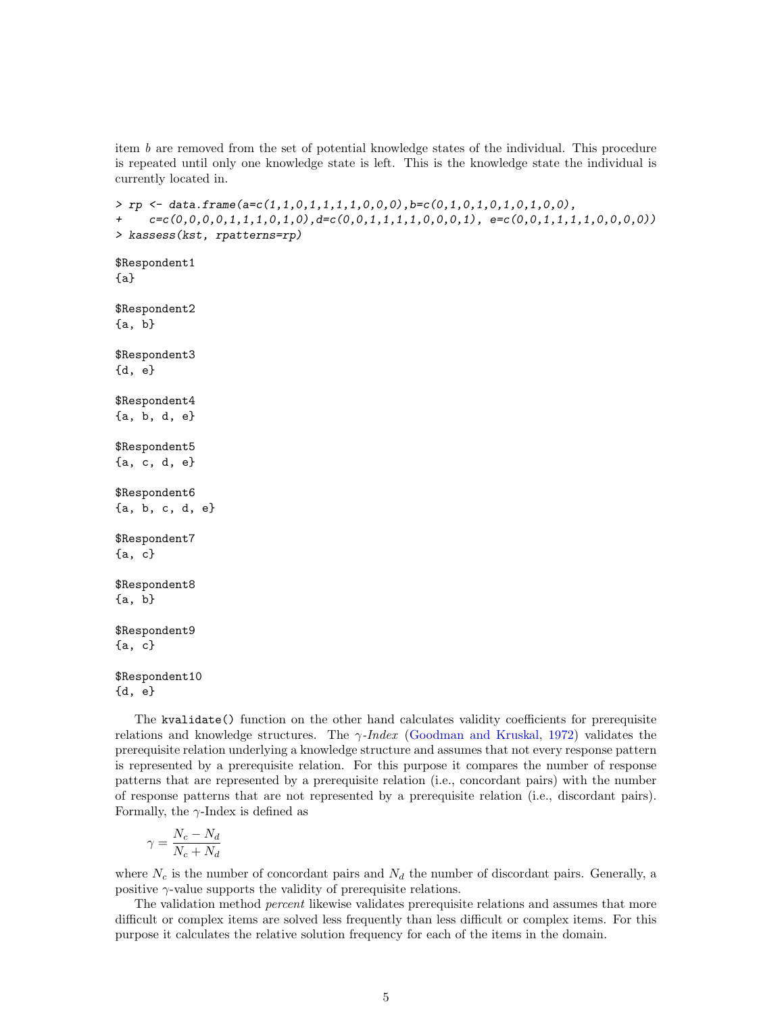<span id="page-4-0"></span>item b are removed from the set of potential knowledge states of the individual. This procedure is repeated until only one knowledge state is left. This is the knowledge state the individual is currently located in.

```
> rp <- data.frame(a=c(1,1,0,1,1,1,1,0,0,0),b=c(0,1,0,1,0,1,0,1,0,0),
     c=c(0,0,0,0,1,1,1,0,1,0),d=c(0,0,1,1,1,1,0,0,0,1), e=c(0,0,1,1,1,1,0,0,0,0))> kassess(kst, rpatterns=rp)
$Respondent1
{a}
$Respondent2
{a, b}
$Respondent3
{d, e}
$Respondent4
{a, b, d, e}
$Respondent5
{a, c, d, e}
$Respondent6
{a, b, c, d, e}
$Respondent7
{a, c}
$Respondent8
{a, b}
$Respondent9
{a, c}
$Respondent10
{d, e}
```
The kvalidate() function on the other hand calculates validity coefficients for prerequisite relations and knowledge structures. The  $\gamma$ -*Index* [\(Goodman and Kruskal,](#page-8-1) [1972\)](#page-8-1) validates the prerequisite relation underlying a knowledge structure and assumes that not every response pattern is represented by a prerequisite relation. For this purpose it compares the number of response patterns that are represented by a prerequisite relation (i.e., concordant pairs) with the number of response patterns that are not represented by a prerequisite relation (i.e., discordant pairs). Formally, the  $\gamma$ -Index is defined as

$$
\gamma = \frac{N_c - N_d}{N_c + N_d}
$$

where  $N_c$  is the number of concordant pairs and  $N_d$  the number of discordant pairs. Generally, a positive  $\gamma$ -value supports the validity of prerequisite relations.

The validation method *percent* likewise validates prerequisite relations and assumes that more difficult or complex items are solved less frequently than less difficult or complex items. For this purpose it calculates the relative solution frequency for each of the items in the domain.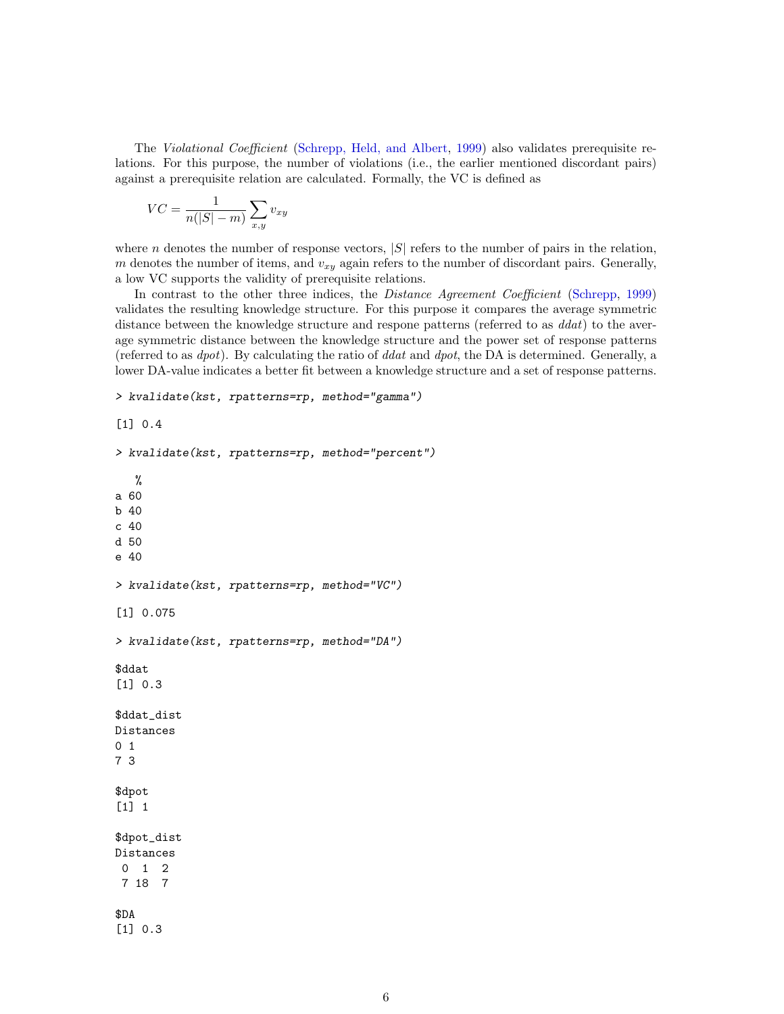The Violational Coefficient [\(Schrepp, Held, and Albert,](#page-8-2) [1999\)](#page-8-2) also validates prerequisite relations. For this purpose, the number of violations (i.e., the earlier mentioned discordant pairs) against a prerequisite relation are calculated. Formally, the VC is defined as

$$
VC = \frac{1}{n(|S| - m)} \sum_{x,y} v_{xy}
$$

where *n* denotes the number of response vectors,  $|S|$  refers to the number of pairs in the relation, m denotes the number of items, and  $v_{xy}$  again refers to the number of discordant pairs. Generally, a low VC supports the validity of prerequisite relations.

In contrast to the other three indices, the Distance Agreement Coefficient [\(Schrepp,](#page-8-3) [1999\)](#page-8-3) validates the resulting knowledge structure. For this purpose it compares the average symmetric distance between the knowledge structure and respone patterns (referred to as  $d_{dat}$ ) to the average symmetric distance between the knowledge structure and the power set of response patterns (referred to as dpot). By calculating the ratio of ddat and dpot, the DA is determined. Generally, a lower DA-value indicates a better fit between a knowledge structure and a set of response patterns.

```
> kvalidate(kst, rpatterns=rp, method="gamma")
```

```
[1] 0.4
```

```
> kvalidate(kst, rpatterns=rp, method="percent")
   %
a 60
b 40
c 40
d 50
e 40
> kvalidate(kst, rpatterns=rp, method="VC")
[1] 0.075
> kvalidate(kst, rpatterns=rp, method="DA")
$ddat
[1] 0.3
$ddat_dist
Distances
0 1
7 3
$dpot
[1] 1
$dpot_dist
Distances
0 1 2
7 18 7
$DA
[1] 0.3
```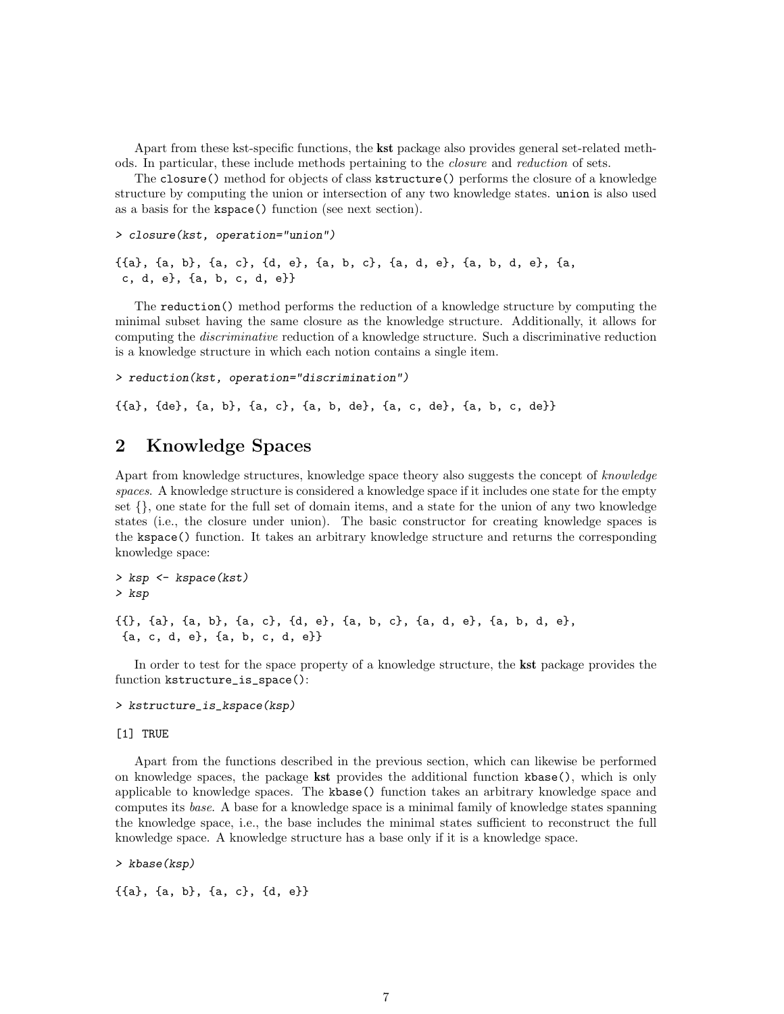<span id="page-6-0"></span>Apart from these kst-specific functions, the kst package also provides general set-related methods. In particular, these include methods pertaining to the closure and reduction of sets.

The closure() method for objects of class kstructure() performs the closure of a knowledge structure by computing the union or intersection of any two knowledge states. union is also used as a basis for the kspace() function (see next section).

```
> closure(kst, operation="union")
```

```
{{a}, {a, b}, {a, c}, {d, e}, {a, b, c}, {a, d, e}, {a, b, d, e}, {a,
c, d, e}, {a, b, c, d, e}}
```
The reduction() method performs the reduction of a knowledge structure by computing the minimal subset having the same closure as the knowledge structure. Additionally, it allows for computing the discriminative reduction of a knowledge structure. Such a discriminative reduction is a knowledge structure in which each notion contains a single item.

> reduction(kst, operation="discrimination")

{{a}, {de}, {a, b}, {a, c}, {a, b, de}, {a, c, de}, {a, b, c, de}}

## 2 Knowledge Spaces

Apart from knowledge structures, knowledge space theory also suggests the concept of knowledge spaces. A knowledge structure is considered a knowledge space if it includes one state for the empty set {}, one state for the full set of domain items, and a state for the union of any two knowledge states (i.e., the closure under union). The basic constructor for creating knowledge spaces is the kspace() function. It takes an arbitrary knowledge structure and returns the corresponding knowledge space:

```
> ksp <- kspace(kst)
> ksp
{{}, {a}, {a, b}, {a, c}, {d, e}, {a, b, c}, {a, d, e}, {a, b, d, e},
 {a, c, d, e}, {a, b, c, d, e}}
```
In order to test for the space property of a knowledge structure, the kst package provides the function kstructure\_is\_space():

> kstructure\_is\_kspace(ksp)

### [1] TRUE

Apart from the functions described in the previous section, which can likewise be performed on knowledge spaces, the package kst provides the additional function kbase(), which is only applicable to knowledge spaces. The kbase() function takes an arbitrary knowledge space and computes its base. A base for a knowledge space is a minimal family of knowledge states spanning the knowledge space, i.e., the base includes the minimal states sufficient to reconstruct the full knowledge space. A knowledge structure has a base only if it is a knowledge space.

> kbase(ksp)

{{a}, {a, b}, {a, c}, {d, e}}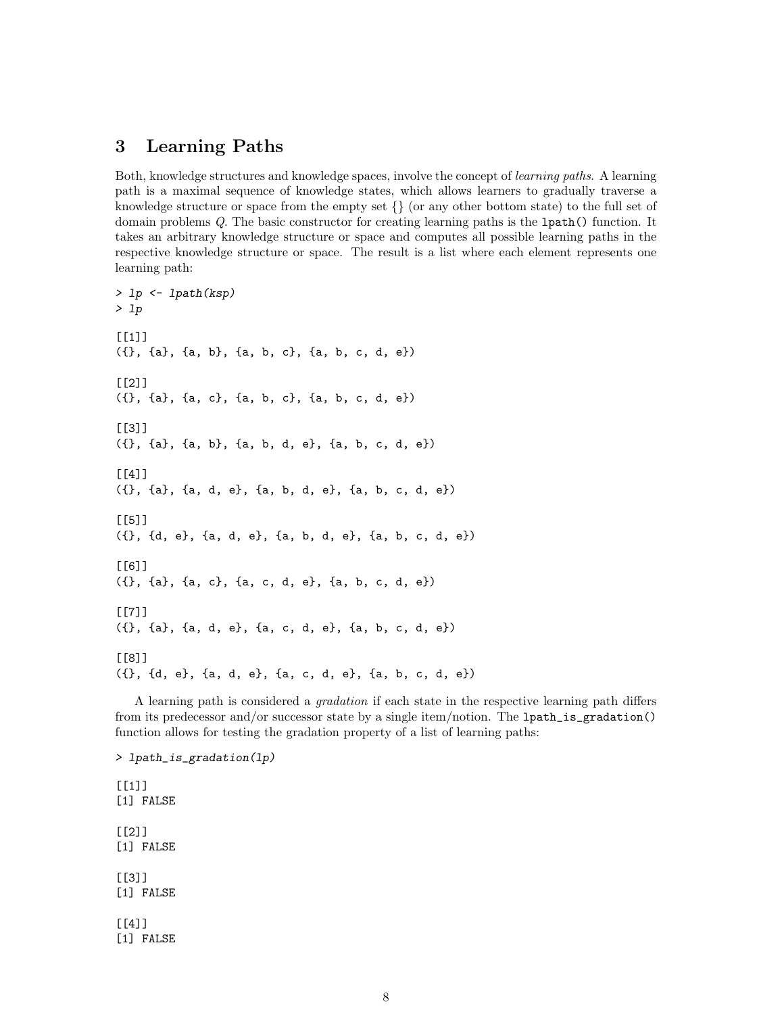## <span id="page-7-0"></span>3 Learning Paths

Both, knowledge structures and knowledge spaces, involve the concept of learning paths. A learning path is a maximal sequence of knowledge states, which allows learners to gradually traverse a knowledge structure or space from the empty set  $\{\}\$  (or any other bottom state) to the full set of domain problems Q. The basic constructor for creating learning paths is the lpath() function. It takes an arbitrary knowledge structure or space and computes all possible learning paths in the respective knowledge structure or space. The result is a list where each element represents one learning path:

```
> lp <- lpath(ksp)
> lp
[[1]({}, {a}, {a, b}, {a, b, c}, {a, b, c, d, e})
[[2]]
({}, {a}, {a, c}, {a, b, c}, {a, b, c, d, e})
[[3]]
({}, {a}, {a, b}, {a, b, d, e}, {a, b, c, d, e})
\lceil[4]]
({}, {a}, {a, d, e}, {a, b, d, e}, {a, b, c, d, e})
[[5]]
({}, {d, e}, {a, d, e}, {a, b, d, e}, {a, b, c, d, e})
[[6]]
({}, {a}, {a, c}, {a, c, d, e}, {a, b, c, d, e})
[[7]]
({}, {a}, {a, d, e}, {a, c, d, e}, {a, b, c, d, e})
[[8]]
({}, {d, e}, {a, d, e}, {a, c, d, e}, {a, b, c, d, e})
```
A learning path is considered a gradation if each state in the respective learning path differs from its predecessor and/or successor state by a single item/notion. The lpath\_is\_gradation() function allows for testing the gradation property of a list of learning paths:

> lpath\_is\_gradation(lp)  $[[1]$ ] [1] FALSE [[2]] [1] FALSE  $[$ [3]] [1] FALSE [[4]] [1] FALSE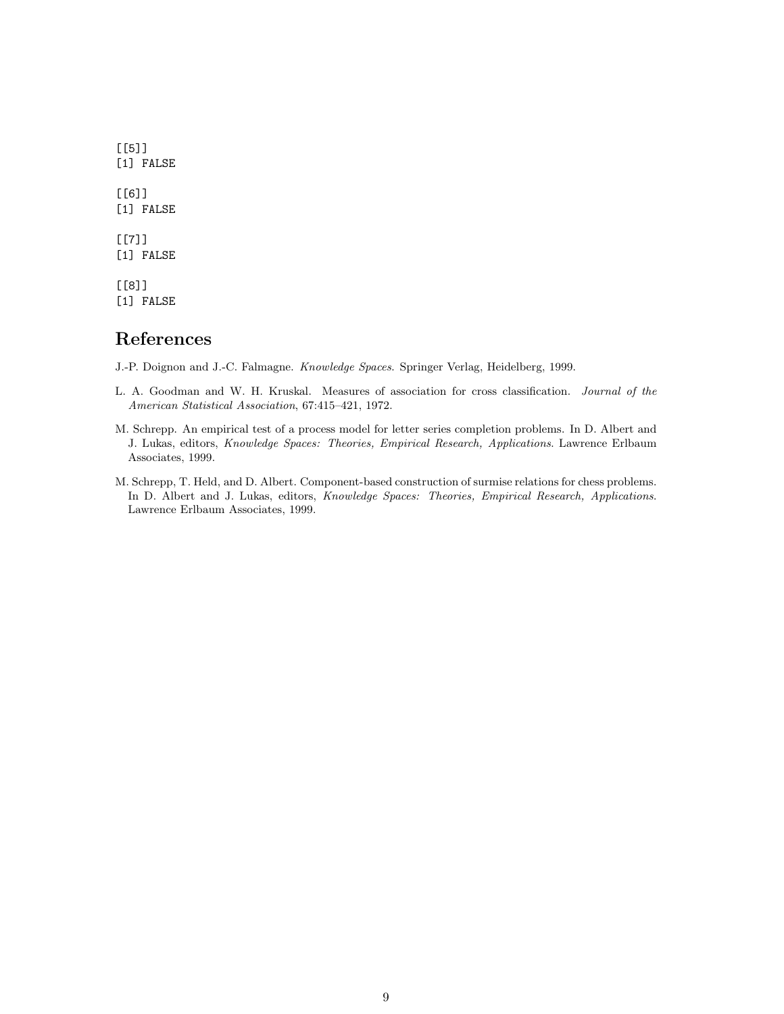$[$ [5]] [1] FALSE [[6]] [1] FALSE [[7]] [1] FALSE [[8]]

[1] FALSE

## References

<span id="page-8-0"></span>J.-P. Doignon and J.-C. Falmagne. Knowledge Spaces. Springer Verlag, Heidelberg, 1999.

- <span id="page-8-1"></span>L. A. Goodman and W. H. Kruskal. Measures of association for cross classification. Journal of the American Statistical Association, 67:415–421, 1972.
- <span id="page-8-3"></span>M. Schrepp. An empirical test of a process model for letter series completion problems. In D. Albert and J. Lukas, editors, Knowledge Spaces: Theories, Empirical Research, Applications. Lawrence Erlbaum Associates, 1999.
- <span id="page-8-2"></span>M. Schrepp, T. Held, and D. Albert. Component-based construction of surmise relations for chess problems. In D. Albert and J. Lukas, editors, Knowledge Spaces: Theories, Empirical Research, Applications. Lawrence Erlbaum Associates, 1999.